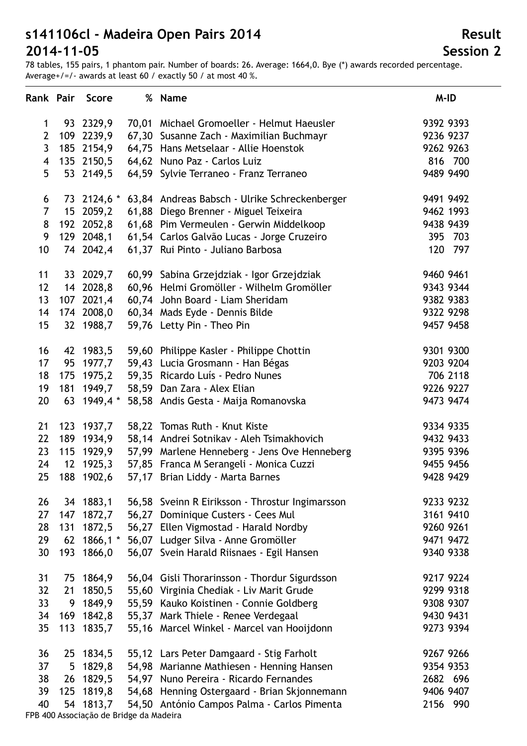78 tables, 155 pairs, 1 phantom pair. Number of boards: 26. Average: 1664,0. Bye (\*) awards recorded percentage. Average+/=/- awards at least 60 / exactly 50 / at most 40 %.

|                |     | Rank Pair Score | % Name                                                | M-ID      |
|----------------|-----|-----------------|-------------------------------------------------------|-----------|
| 1              |     | 93 2329,9       | 70,01 Michael Gromoeller - Helmut Haeusler            | 9392 9393 |
| $\overline{2}$ |     | 109 2239,9      | 67,30 Susanne Zach - Maximilian Buchmayr              | 9236 9237 |
| $\mathbf{3}$   |     | 185 2154,9      | 64,75 Hans Metselaar - Allie Hoenstok                 | 9262 9263 |
| 4              |     | 135 2150,5      | 64,62 Nuno Paz - Carlos Luiz                          | 816 700   |
| 5              |     | 53 2149,5       | 64,59 Sylvie Terraneo - Franz Terraneo                | 9489 9490 |
|                |     |                 |                                                       |           |
| 6              |     | 73 2124,6 *     | 63,84 Andreas Babsch - Ulrike Schreckenberger         | 9491 9492 |
| $\overline{7}$ |     | 15 2059,2       | 61,88 Diego Brenner - Miguel Teixeira                 | 9462 1993 |
| 8              |     | 192 2052,8      | 61,68 Pim Vermeulen - Gerwin Middelkoop               | 9438 9439 |
| 9              |     |                 | 129 2048,1 61,54 Carlos Galvão Lucas - Jorge Cruzeiro | 395 703   |
| 10             |     | 74 2042,4       | 61,37 Rui Pinto - Juliano Barbosa                     | 120 797   |
| 11             |     | 33 2029,7       | 60,99 Sabina Grzejdziak - Igor Grzejdziak             | 9460 9461 |
| 12             |     | 14 2028,8       | 60,96 Helmi Gromöller - Wilhelm Gromöller             | 9343 9344 |
| 13             |     | 107 2021,4      | 60,74 John Board - Liam Sheridam                      | 9382 9383 |
| 14             |     |                 | 174 2008,0 60,34 Mads Eyde - Dennis Bilde             | 9322 9298 |
| 15             |     | 32 1988,7       | 59,76 Letty Pin - Theo Pin                            | 9457 9458 |
|                |     |                 |                                                       |           |
| 16             |     | 42 1983,5       | 59,60 Philippe Kasler - Philippe Chottin              | 9301 9300 |
| 17             |     | 95 1977,7       | 59,43 Lucia Grosmann - Han Bégas                      | 9203 9204 |
| 18             |     |                 | 175 1975,2 59,35 Ricardo Luís - Pedro Nunes           | 706 2118  |
| 19             |     | 181 1949,7      | 58,59 Dan Zara - Alex Elian                           | 9226 9227 |
| 20             |     | 63 1949,4 $*$   | 58,58 Andis Gesta - Maija Romanovska                  | 9473 9474 |
| 21             |     | 123 1937,7      | 58,22 Tomas Ruth - Knut Kiste                         | 9334 9335 |
| 22             | 189 | 1934,9          | 58,14 Andrei Sotnikav - Aleh Tsimakhovich             | 9432 9433 |
| 23             |     | 115 1929,9      | 57,99 Marlene Henneberg - Jens Ove Henneberg          | 9395 9396 |
| 24             | 12  | 1925,3          | 57,85 Franca M Serangeli - Monica Cuzzi               | 9455 9456 |
| 25             |     | 188 1902,6      | 57,17 Brian Liddy - Marta Barnes                      | 9428 9429 |
| 26             |     | 34 1883,1       | 56,58 Sveinn R Eiriksson - Throstur Ingimarsson       | 9233 9232 |
| 27             | 147 | 1872,7          | 56,27 Dominique Custers - Cees Mul                    | 3161 9410 |
| 28             | 131 | 1872,5          | 56,27 Ellen Vigmostad - Harald Nordby                 | 9260 9261 |
| 29             | 62  | $1866,1*$       | 56,07 Ludger Silva - Anne Gromöller                   | 9471 9472 |
| 30             |     | 193 1866,0      | 56,07 Svein Harald Riisnaes - Egil Hansen             | 9340 9338 |
| 31             |     | 75 1864,9       | 56,04 Gisli Thorarinsson - Thordur Sigurdsson         | 9217 9224 |
| 32             | 21  | 1850,5          | 55,60 Virginia Chediak - Liv Marit Grude              | 9299 9318 |
| 33             |     | 9 1849,9        | 55,59 Kauko Koistinen - Connie Goldberg               | 9308 9307 |
| 34             |     | 169 1842,8      | 55,37 Mark Thiele - Renee Verdegaal                   | 9430 9431 |
| 35             | 113 | 1835,7          |                                                       | 9273 9394 |
|                |     |                 | 55,16 Marcel Winkel - Marcel van Hooijdonn            |           |
| 36             |     | 25 1834,5       | 55,12 Lars Peter Damgaard - Stig Farholt              | 9267 9266 |
| 37             | 5   | 1829,8          | 54,98 Marianne Mathiesen - Henning Hansen             | 9354 9353 |
| 38             |     | 26 1829,5       | 54,97 Nuno Pereira - Ricardo Fernandes                | 2682 696  |
| 39             | 125 | 1819,8          | 54,68 Henning Ostergaard - Brian Skjonnemann          | 9406 9407 |
| 40             |     | 54 1813,7       | 54,50 António Campos Palma - Carlos Pimenta           | 2156 990  |

FPB 400 Associação de Bridge da Madeira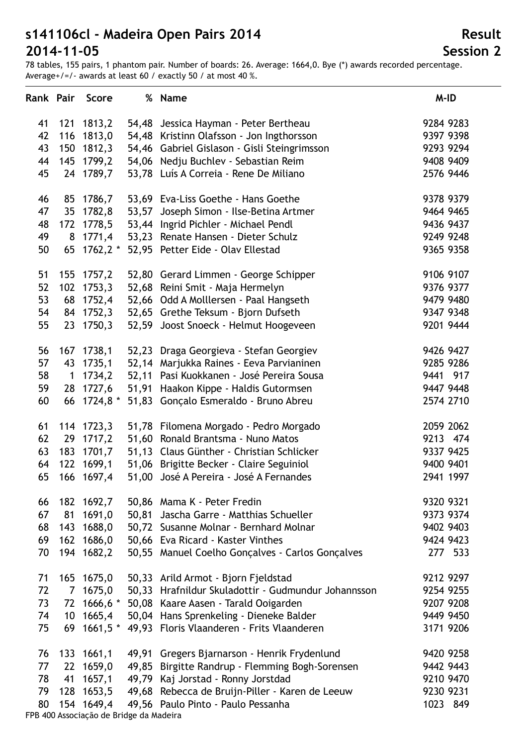78 tables, 155 pairs, 1 phantom pair. Number of boards: 26. Average: 1664,0. Bye (\*) awards recorded percentage. Average+/=/- awards at least 60 / exactly 50 / at most 40 %.

| Rank Pair |                         | Score         | % Name                                                 | M-ID      |
|-----------|-------------------------|---------------|--------------------------------------------------------|-----------|
| 41        |                         | 121 1813,2    | 54,48 Jessica Hayman - Peter Bertheau                  | 9284 9283 |
| 42        |                         | 116 1813,0    | 54,48 Kristinn Olafsson - Jon Ingthorsson              | 9397 9398 |
| 43        |                         | 150 1812,3    | 54,46 Gabriel Gislason - Gisli Steingrimsson           | 9293 9294 |
| 44        | 145                     | 1799,2        | 54,06 Nedju Buchlev - Sebastian Reim                   | 9408 9409 |
| 45        |                         | 24 1789,7     | 53,78 Luís A Correia - Rene De Miliano                 | 2576 9446 |
|           |                         |               |                                                        |           |
| 46        |                         | 85 1786,7     | 53,69 Eva-Liss Goethe - Hans Goethe                    | 9378 9379 |
| 47        | 35 <sub>2</sub>         | 1782,8        | 53,57 Joseph Simon - Ilse-Betina Artmer                | 9464 9465 |
| 48        |                         | 172 1778,5    | 53,44 Ingrid Pichler - Michael Pendl                   | 9436 9437 |
| 49        |                         | 8 1771,4      | 53,23 Renate Hansen - Dieter Schulz                    | 9249 9248 |
| 50        |                         | 65 $1762,2$ * | 52,95 Petter Eide - Olav Ellestad                      | 9365 9358 |
| 51        |                         | 155 1757,2    | 52,80 Gerard Limmen - George Schipper                  | 9106 9107 |
| 52        | 102                     | 1753,3        | 52,68 Reini Smit - Maja Hermelyn                       | 9376 9377 |
| 53        |                         | 68 1752,4     | 52,66 Odd A Molllersen - Paal Hangseth                 | 9479 9480 |
| 54        | 84                      | 1752,3        | 52,65 Grethe Teksum - Bjorn Dufseth                    | 9347 9348 |
| 55        | 23                      | 1750,3        | 52,59 Joost Snoeck - Helmut Hoogeveen                  | 9201 9444 |
| 56        |                         | 167 1738,1    | 52,23 Draga Georgieva - Stefan Georgiev                | 9426 9427 |
| 57        |                         | 43 1735,1     | 52,14 Marjukka Raines - Eeva Parvianinen               | 9285 9286 |
| 58        | $\overline{\mathbf{1}}$ | 1734,2        | 52,11 Pasi Kuokkanen - José Pereira Sousa              | 9441 917  |
| 59        |                         | 28 1727,6     | 51,91 Haakon Kippe - Haldis Gutormsen                  | 9447 9448 |
| 60        |                         | 66 1724,8 *   | 51,83 Gonçalo Esmeraldo - Bruno Abreu                  | 2574 2710 |
| 61        |                         | 114 1723,3    | 51,78 Filomena Morgado - Pedro Morgado                 | 2059 2062 |
| 62        | 29                      | 1717,2        | 51,60 Ronald Brantsma - Nuno Matos                     | 9213 474  |
| 63        | 183                     | 1701,7        | 51,13 Claus Günther - Christian Schlicker              | 9337 9425 |
| 64        |                         | 122 1699,1    | 51,06 Brigitte Becker - Claire Seguiniol               | 9400 9401 |
| 65        |                         | 166 1697,4    | 51,00 José A Pereira - José A Fernandes                | 2941 1997 |
| 66        |                         | 182 1692,7    | 50,86 Mama K - Peter Fredin                            | 9320 9321 |
| 67        | 81                      | 1691,0        | 50,81 Jascha Garre - Matthias Schueller                | 9373 9374 |
| 68        | 143                     | 1688,0        | 50,72 Susanne Molnar - Bernhard Molnar                 | 9402 9403 |
| 69        |                         | 162 1686,0    | 50,66 Eva Ricard - Kaster Vinthes                      | 9424 9423 |
| 70        |                         | 194 1682,2    | 50,55 Manuel Coelho Gonçalves - Carlos Gonçalves       | 277 533   |
| 71        |                         |               | 165 1675,0 50,33 Arild Armot - Bjorn Fjeldstad         | 9212 9297 |
| 72        | $\overline{7}$          | 1675,0        | 50,33 Hrafnildur Skuladottir - Gudmundur Johannsson    | 9254 9255 |
| 73        |                         |               | 72 1666,6 * 50,08 Kaare Aasen - Tarald Ooigarden       | 9207 9208 |
| 74        |                         | 10 1665,4     | 50,04 Hans Sprenkeling - Dieneke Balder                | 9449 9450 |
| 75        |                         |               | 69 1661,5 * 49,93 Floris Vlaanderen - Frits Vlaanderen | 3171 9206 |
| 76        |                         | 133 1661,1    | 49,91 Gregers Bjarnarson - Henrik Frydenlund           | 9420 9258 |
| 77        | 22                      | 1659,0        | 49,85 Birgitte Randrup - Flemming Bogh-Sorensen        | 9442 9443 |
| 78        | 41                      | 1657,1        | 49,79 Kaj Jorstad - Ronny Jorstdad                     | 9210 9470 |
| 79        | 128                     |               | 1653,5 49,68 Rebecca de Bruijn-Piller - Karen de Leeuw | 9230 9231 |
| 80        |                         | 154 1649,4    | 49,56 Paulo Pinto - Paulo Pessanha                     | 1023 849  |

# **Result Session 2**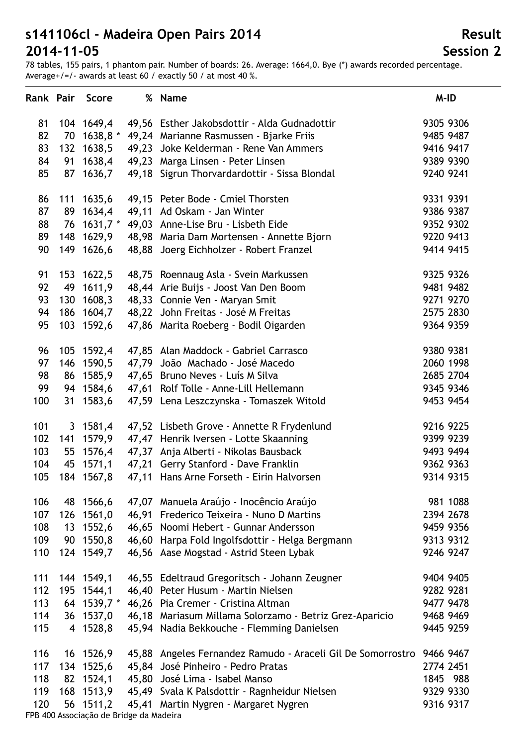78 tables, 155 pairs, 1 phantom pair. Number of boards: 26. Average: 1664,0. Bye (\*) awards recorded percentage. Average+/=/- awards at least 60 / exactly 50 / at most 40 %.

| 9305 9306<br>104 1649,4<br>49,56 Esther Jakobsdottir - Alda Gudnadottir<br>81<br>82<br>70 1638,8 * 49,24 Marianne Rasmussen - Bjarke Friis<br>9485 9487<br>132 1638,5<br>49,23 Joke Kelderman - Rene Van Ammers<br>9416 9417<br>83<br>84<br>91 1638,4 49,23 Marga Linsen - Peter Linsen<br>9389 9390<br>85<br>87 1636,7 49,18 Sigrun Thorvardardottir - Sissa Blondal<br>9240 9241<br>111 1635,6<br>9331 9391<br>86<br>49,15 Peter Bode - Cmiel Thorsten<br>87<br>89 1634,4<br>49,11 Ad Oskam - Jan Winter<br>9386 9387<br>88<br>9352 9302<br>76 1631,7 * 49,03 Anne-Lise Bru - Lisbeth Eide<br>89<br>148 1629,9 48,98 Maria Dam Mortensen - Annette Bjorn<br>9220 9413<br>90<br>149 1626,6 48,88 Joerg Eichholzer - Robert Franzel<br>9414 9415<br>9325 9326<br>91<br>153 1622,5<br>48,75 Roennaug Asla - Svein Markussen<br>92<br>49 1611,9<br>48,44 Arie Buijs - Joost Van Den Boom<br>9481 9482<br>93<br>130 1608,3 48,33 Connie Ven - Maryan Smit<br>9271 9270<br>186 1604,7 48,22 John Freitas - José M Freitas<br>94<br>2575 2830<br>95<br>103 1592,6 47,86 Marita Roeberg - Bodil Oigarden<br>9364 9359<br>9380 9381<br>96<br>105 1592,4<br>47,85 Alan Maddock - Gabriel Carrasco<br>97<br>146 1590,5 47,79 João Machado - José Macedo<br>2060 1998<br>98<br>86 1585,9 47,65 Bruno Neves - Luís M Silva<br>2685 2704<br>99<br>94 1584,6 47,61 Rolf Tolle - Anne-Lill Hellemann<br>9345 9346<br>100<br>31 1583,6<br>47,59 Lena Leszczynska - Tomaszek Witold<br>9453 9454<br>9216 9225<br>101<br>3 1581,4 47,52 Lisbeth Grove - Annette R Frydenlund<br>141 1579,9 47,47 Henrik Iversen - Lotte Skaanning<br>102<br>9399 9239<br>103<br>55 1576,4 47,37 Anja Alberti - Nikolas Bausback<br>9493 9494<br>104<br>45 1571,1 47,21 Gerry Stanford - Dave Franklin<br>9362 9363<br>105<br>184 1567,8<br>47,11 Hans Arne Forseth - Eirin Halvorsen<br>9314 9315<br>47,07 Manuela Araújo - Inocêncio Araújo<br>981 1088<br>106<br>48 1566,6<br>46,91 Frederico Teixeira - Nuno D Martins<br>107<br>126 1561,0<br>2394 2678<br>108<br>13 1552,6<br>46,65 Noomi Hebert - Gunnar Andersson<br>9459 9356<br>109<br>90 1550,8<br>46,60 Harpa Fold Ingolfsdottir - Helga Bergmann<br>9313 9312<br>124 1549,7<br>46,56 Aase Mogstad - Astrid Steen Lybak<br>9246 9247<br>110<br>111<br>144 1549,1<br>9404 9405<br>46,55 Edeltraud Gregoritsch - Johann Zeugner<br>195 1544,1<br>46,40 Peter Husum - Martin Nielsen<br>9282 9281<br>112<br>113<br>64 1539,7 * 46,26 Pia Cremer - Cristina Altman<br>9477 9478<br>114<br>36 1537,0<br>46,18 Mariasum Millama Solorzamo - Betriz Grez-Aparicio<br>9468 9469<br>115<br>4 1528,8<br>45,94 Nadia Bekkouche - Flemming Danielsen<br>9445 9259<br>116<br>16 1526,9<br>45,88 Angeles Fernandez Ramudo - Araceli Gil De Somorrostro<br>9466 9467<br>134 1525,6 45,84 José Pinheiro - Pedro Pratas<br>117<br>2774 2451<br>82 1524,1 45,80 José Lima - Isabel Manso<br>118<br>1845 988<br>168 1513,9 45,49 Svala K Palsdottir - Ragnheidur Nielsen<br>9329 9330<br>119<br>120<br>56 1511,2 45,41 Martin Nygren - Margaret Nygren<br>9316 9317 |  | Rank Pair Score | % Name | M-ID |
|----------------------------------------------------------------------------------------------------------------------------------------------------------------------------------------------------------------------------------------------------------------------------------------------------------------------------------------------------------------------------------------------------------------------------------------------------------------------------------------------------------------------------------------------------------------------------------------------------------------------------------------------------------------------------------------------------------------------------------------------------------------------------------------------------------------------------------------------------------------------------------------------------------------------------------------------------------------------------------------------------------------------------------------------------------------------------------------------------------------------------------------------------------------------------------------------------------------------------------------------------------------------------------------------------------------------------------------------------------------------------------------------------------------------------------------------------------------------------------------------------------------------------------------------------------------------------------------------------------------------------------------------------------------------------------------------------------------------------------------------------------------------------------------------------------------------------------------------------------------------------------------------------------------------------------------------------------------------------------------------------------------------------------------------------------------------------------------------------------------------------------------------------------------------------------------------------------------------------------------------------------------------------------------------------------------------------------------------------------------------------------------------------------------------------------------------------------------------------------------------------------------------------------------------------------------------------------------------------------------------------------------------------------------------------------------------------------------------------------------------------------------------------------------------------------------------------------------------------------------------------------------------------------------------------------------------------------------------------------------------------------------------------------------------------------------------------|--|-----------------|--------|------|
|                                                                                                                                                                                                                                                                                                                                                                                                                                                                                                                                                                                                                                                                                                                                                                                                                                                                                                                                                                                                                                                                                                                                                                                                                                                                                                                                                                                                                                                                                                                                                                                                                                                                                                                                                                                                                                                                                                                                                                                                                                                                                                                                                                                                                                                                                                                                                                                                                                                                                                                                                                                                                                                                                                                                                                                                                                                                                                                                                                                                                                                                            |  |                 |        |      |
|                                                                                                                                                                                                                                                                                                                                                                                                                                                                                                                                                                                                                                                                                                                                                                                                                                                                                                                                                                                                                                                                                                                                                                                                                                                                                                                                                                                                                                                                                                                                                                                                                                                                                                                                                                                                                                                                                                                                                                                                                                                                                                                                                                                                                                                                                                                                                                                                                                                                                                                                                                                                                                                                                                                                                                                                                                                                                                                                                                                                                                                                            |  |                 |        |      |
|                                                                                                                                                                                                                                                                                                                                                                                                                                                                                                                                                                                                                                                                                                                                                                                                                                                                                                                                                                                                                                                                                                                                                                                                                                                                                                                                                                                                                                                                                                                                                                                                                                                                                                                                                                                                                                                                                                                                                                                                                                                                                                                                                                                                                                                                                                                                                                                                                                                                                                                                                                                                                                                                                                                                                                                                                                                                                                                                                                                                                                                                            |  |                 |        |      |
|                                                                                                                                                                                                                                                                                                                                                                                                                                                                                                                                                                                                                                                                                                                                                                                                                                                                                                                                                                                                                                                                                                                                                                                                                                                                                                                                                                                                                                                                                                                                                                                                                                                                                                                                                                                                                                                                                                                                                                                                                                                                                                                                                                                                                                                                                                                                                                                                                                                                                                                                                                                                                                                                                                                                                                                                                                                                                                                                                                                                                                                                            |  |                 |        |      |
|                                                                                                                                                                                                                                                                                                                                                                                                                                                                                                                                                                                                                                                                                                                                                                                                                                                                                                                                                                                                                                                                                                                                                                                                                                                                                                                                                                                                                                                                                                                                                                                                                                                                                                                                                                                                                                                                                                                                                                                                                                                                                                                                                                                                                                                                                                                                                                                                                                                                                                                                                                                                                                                                                                                                                                                                                                                                                                                                                                                                                                                                            |  |                 |        |      |
|                                                                                                                                                                                                                                                                                                                                                                                                                                                                                                                                                                                                                                                                                                                                                                                                                                                                                                                                                                                                                                                                                                                                                                                                                                                                                                                                                                                                                                                                                                                                                                                                                                                                                                                                                                                                                                                                                                                                                                                                                                                                                                                                                                                                                                                                                                                                                                                                                                                                                                                                                                                                                                                                                                                                                                                                                                                                                                                                                                                                                                                                            |  |                 |        |      |
|                                                                                                                                                                                                                                                                                                                                                                                                                                                                                                                                                                                                                                                                                                                                                                                                                                                                                                                                                                                                                                                                                                                                                                                                                                                                                                                                                                                                                                                                                                                                                                                                                                                                                                                                                                                                                                                                                                                                                                                                                                                                                                                                                                                                                                                                                                                                                                                                                                                                                                                                                                                                                                                                                                                                                                                                                                                                                                                                                                                                                                                                            |  |                 |        |      |
|                                                                                                                                                                                                                                                                                                                                                                                                                                                                                                                                                                                                                                                                                                                                                                                                                                                                                                                                                                                                                                                                                                                                                                                                                                                                                                                                                                                                                                                                                                                                                                                                                                                                                                                                                                                                                                                                                                                                                                                                                                                                                                                                                                                                                                                                                                                                                                                                                                                                                                                                                                                                                                                                                                                                                                                                                                                                                                                                                                                                                                                                            |  |                 |        |      |
|                                                                                                                                                                                                                                                                                                                                                                                                                                                                                                                                                                                                                                                                                                                                                                                                                                                                                                                                                                                                                                                                                                                                                                                                                                                                                                                                                                                                                                                                                                                                                                                                                                                                                                                                                                                                                                                                                                                                                                                                                                                                                                                                                                                                                                                                                                                                                                                                                                                                                                                                                                                                                                                                                                                                                                                                                                                                                                                                                                                                                                                                            |  |                 |        |      |
|                                                                                                                                                                                                                                                                                                                                                                                                                                                                                                                                                                                                                                                                                                                                                                                                                                                                                                                                                                                                                                                                                                                                                                                                                                                                                                                                                                                                                                                                                                                                                                                                                                                                                                                                                                                                                                                                                                                                                                                                                                                                                                                                                                                                                                                                                                                                                                                                                                                                                                                                                                                                                                                                                                                                                                                                                                                                                                                                                                                                                                                                            |  |                 |        |      |
|                                                                                                                                                                                                                                                                                                                                                                                                                                                                                                                                                                                                                                                                                                                                                                                                                                                                                                                                                                                                                                                                                                                                                                                                                                                                                                                                                                                                                                                                                                                                                                                                                                                                                                                                                                                                                                                                                                                                                                                                                                                                                                                                                                                                                                                                                                                                                                                                                                                                                                                                                                                                                                                                                                                                                                                                                                                                                                                                                                                                                                                                            |  |                 |        |      |
|                                                                                                                                                                                                                                                                                                                                                                                                                                                                                                                                                                                                                                                                                                                                                                                                                                                                                                                                                                                                                                                                                                                                                                                                                                                                                                                                                                                                                                                                                                                                                                                                                                                                                                                                                                                                                                                                                                                                                                                                                                                                                                                                                                                                                                                                                                                                                                                                                                                                                                                                                                                                                                                                                                                                                                                                                                                                                                                                                                                                                                                                            |  |                 |        |      |
|                                                                                                                                                                                                                                                                                                                                                                                                                                                                                                                                                                                                                                                                                                                                                                                                                                                                                                                                                                                                                                                                                                                                                                                                                                                                                                                                                                                                                                                                                                                                                                                                                                                                                                                                                                                                                                                                                                                                                                                                                                                                                                                                                                                                                                                                                                                                                                                                                                                                                                                                                                                                                                                                                                                                                                                                                                                                                                                                                                                                                                                                            |  |                 |        |      |
|                                                                                                                                                                                                                                                                                                                                                                                                                                                                                                                                                                                                                                                                                                                                                                                                                                                                                                                                                                                                                                                                                                                                                                                                                                                                                                                                                                                                                                                                                                                                                                                                                                                                                                                                                                                                                                                                                                                                                                                                                                                                                                                                                                                                                                                                                                                                                                                                                                                                                                                                                                                                                                                                                                                                                                                                                                                                                                                                                                                                                                                                            |  |                 |        |      |
|                                                                                                                                                                                                                                                                                                                                                                                                                                                                                                                                                                                                                                                                                                                                                                                                                                                                                                                                                                                                                                                                                                                                                                                                                                                                                                                                                                                                                                                                                                                                                                                                                                                                                                                                                                                                                                                                                                                                                                                                                                                                                                                                                                                                                                                                                                                                                                                                                                                                                                                                                                                                                                                                                                                                                                                                                                                                                                                                                                                                                                                                            |  |                 |        |      |
|                                                                                                                                                                                                                                                                                                                                                                                                                                                                                                                                                                                                                                                                                                                                                                                                                                                                                                                                                                                                                                                                                                                                                                                                                                                                                                                                                                                                                                                                                                                                                                                                                                                                                                                                                                                                                                                                                                                                                                                                                                                                                                                                                                                                                                                                                                                                                                                                                                                                                                                                                                                                                                                                                                                                                                                                                                                                                                                                                                                                                                                                            |  |                 |        |      |
|                                                                                                                                                                                                                                                                                                                                                                                                                                                                                                                                                                                                                                                                                                                                                                                                                                                                                                                                                                                                                                                                                                                                                                                                                                                                                                                                                                                                                                                                                                                                                                                                                                                                                                                                                                                                                                                                                                                                                                                                                                                                                                                                                                                                                                                                                                                                                                                                                                                                                                                                                                                                                                                                                                                                                                                                                                                                                                                                                                                                                                                                            |  |                 |        |      |
|                                                                                                                                                                                                                                                                                                                                                                                                                                                                                                                                                                                                                                                                                                                                                                                                                                                                                                                                                                                                                                                                                                                                                                                                                                                                                                                                                                                                                                                                                                                                                                                                                                                                                                                                                                                                                                                                                                                                                                                                                                                                                                                                                                                                                                                                                                                                                                                                                                                                                                                                                                                                                                                                                                                                                                                                                                                                                                                                                                                                                                                                            |  |                 |        |      |
|                                                                                                                                                                                                                                                                                                                                                                                                                                                                                                                                                                                                                                                                                                                                                                                                                                                                                                                                                                                                                                                                                                                                                                                                                                                                                                                                                                                                                                                                                                                                                                                                                                                                                                                                                                                                                                                                                                                                                                                                                                                                                                                                                                                                                                                                                                                                                                                                                                                                                                                                                                                                                                                                                                                                                                                                                                                                                                                                                                                                                                                                            |  |                 |        |      |
|                                                                                                                                                                                                                                                                                                                                                                                                                                                                                                                                                                                                                                                                                                                                                                                                                                                                                                                                                                                                                                                                                                                                                                                                                                                                                                                                                                                                                                                                                                                                                                                                                                                                                                                                                                                                                                                                                                                                                                                                                                                                                                                                                                                                                                                                                                                                                                                                                                                                                                                                                                                                                                                                                                                                                                                                                                                                                                                                                                                                                                                                            |  |                 |        |      |
|                                                                                                                                                                                                                                                                                                                                                                                                                                                                                                                                                                                                                                                                                                                                                                                                                                                                                                                                                                                                                                                                                                                                                                                                                                                                                                                                                                                                                                                                                                                                                                                                                                                                                                                                                                                                                                                                                                                                                                                                                                                                                                                                                                                                                                                                                                                                                                                                                                                                                                                                                                                                                                                                                                                                                                                                                                                                                                                                                                                                                                                                            |  |                 |        |      |
|                                                                                                                                                                                                                                                                                                                                                                                                                                                                                                                                                                                                                                                                                                                                                                                                                                                                                                                                                                                                                                                                                                                                                                                                                                                                                                                                                                                                                                                                                                                                                                                                                                                                                                                                                                                                                                                                                                                                                                                                                                                                                                                                                                                                                                                                                                                                                                                                                                                                                                                                                                                                                                                                                                                                                                                                                                                                                                                                                                                                                                                                            |  |                 |        |      |
|                                                                                                                                                                                                                                                                                                                                                                                                                                                                                                                                                                                                                                                                                                                                                                                                                                                                                                                                                                                                                                                                                                                                                                                                                                                                                                                                                                                                                                                                                                                                                                                                                                                                                                                                                                                                                                                                                                                                                                                                                                                                                                                                                                                                                                                                                                                                                                                                                                                                                                                                                                                                                                                                                                                                                                                                                                                                                                                                                                                                                                                                            |  |                 |        |      |
|                                                                                                                                                                                                                                                                                                                                                                                                                                                                                                                                                                                                                                                                                                                                                                                                                                                                                                                                                                                                                                                                                                                                                                                                                                                                                                                                                                                                                                                                                                                                                                                                                                                                                                                                                                                                                                                                                                                                                                                                                                                                                                                                                                                                                                                                                                                                                                                                                                                                                                                                                                                                                                                                                                                                                                                                                                                                                                                                                                                                                                                                            |  |                 |        |      |
|                                                                                                                                                                                                                                                                                                                                                                                                                                                                                                                                                                                                                                                                                                                                                                                                                                                                                                                                                                                                                                                                                                                                                                                                                                                                                                                                                                                                                                                                                                                                                                                                                                                                                                                                                                                                                                                                                                                                                                                                                                                                                                                                                                                                                                                                                                                                                                                                                                                                                                                                                                                                                                                                                                                                                                                                                                                                                                                                                                                                                                                                            |  |                 |        |      |
|                                                                                                                                                                                                                                                                                                                                                                                                                                                                                                                                                                                                                                                                                                                                                                                                                                                                                                                                                                                                                                                                                                                                                                                                                                                                                                                                                                                                                                                                                                                                                                                                                                                                                                                                                                                                                                                                                                                                                                                                                                                                                                                                                                                                                                                                                                                                                                                                                                                                                                                                                                                                                                                                                                                                                                                                                                                                                                                                                                                                                                                                            |  |                 |        |      |
|                                                                                                                                                                                                                                                                                                                                                                                                                                                                                                                                                                                                                                                                                                                                                                                                                                                                                                                                                                                                                                                                                                                                                                                                                                                                                                                                                                                                                                                                                                                                                                                                                                                                                                                                                                                                                                                                                                                                                                                                                                                                                                                                                                                                                                                                                                                                                                                                                                                                                                                                                                                                                                                                                                                                                                                                                                                                                                                                                                                                                                                                            |  |                 |        |      |
|                                                                                                                                                                                                                                                                                                                                                                                                                                                                                                                                                                                                                                                                                                                                                                                                                                                                                                                                                                                                                                                                                                                                                                                                                                                                                                                                                                                                                                                                                                                                                                                                                                                                                                                                                                                                                                                                                                                                                                                                                                                                                                                                                                                                                                                                                                                                                                                                                                                                                                                                                                                                                                                                                                                                                                                                                                                                                                                                                                                                                                                                            |  |                 |        |      |
|                                                                                                                                                                                                                                                                                                                                                                                                                                                                                                                                                                                                                                                                                                                                                                                                                                                                                                                                                                                                                                                                                                                                                                                                                                                                                                                                                                                                                                                                                                                                                                                                                                                                                                                                                                                                                                                                                                                                                                                                                                                                                                                                                                                                                                                                                                                                                                                                                                                                                                                                                                                                                                                                                                                                                                                                                                                                                                                                                                                                                                                                            |  |                 |        |      |
|                                                                                                                                                                                                                                                                                                                                                                                                                                                                                                                                                                                                                                                                                                                                                                                                                                                                                                                                                                                                                                                                                                                                                                                                                                                                                                                                                                                                                                                                                                                                                                                                                                                                                                                                                                                                                                                                                                                                                                                                                                                                                                                                                                                                                                                                                                                                                                                                                                                                                                                                                                                                                                                                                                                                                                                                                                                                                                                                                                                                                                                                            |  |                 |        |      |
|                                                                                                                                                                                                                                                                                                                                                                                                                                                                                                                                                                                                                                                                                                                                                                                                                                                                                                                                                                                                                                                                                                                                                                                                                                                                                                                                                                                                                                                                                                                                                                                                                                                                                                                                                                                                                                                                                                                                                                                                                                                                                                                                                                                                                                                                                                                                                                                                                                                                                                                                                                                                                                                                                                                                                                                                                                                                                                                                                                                                                                                                            |  |                 |        |      |
|                                                                                                                                                                                                                                                                                                                                                                                                                                                                                                                                                                                                                                                                                                                                                                                                                                                                                                                                                                                                                                                                                                                                                                                                                                                                                                                                                                                                                                                                                                                                                                                                                                                                                                                                                                                                                                                                                                                                                                                                                                                                                                                                                                                                                                                                                                                                                                                                                                                                                                                                                                                                                                                                                                                                                                                                                                                                                                                                                                                                                                                                            |  |                 |        |      |
|                                                                                                                                                                                                                                                                                                                                                                                                                                                                                                                                                                                                                                                                                                                                                                                                                                                                                                                                                                                                                                                                                                                                                                                                                                                                                                                                                                                                                                                                                                                                                                                                                                                                                                                                                                                                                                                                                                                                                                                                                                                                                                                                                                                                                                                                                                                                                                                                                                                                                                                                                                                                                                                                                                                                                                                                                                                                                                                                                                                                                                                                            |  |                 |        |      |
|                                                                                                                                                                                                                                                                                                                                                                                                                                                                                                                                                                                                                                                                                                                                                                                                                                                                                                                                                                                                                                                                                                                                                                                                                                                                                                                                                                                                                                                                                                                                                                                                                                                                                                                                                                                                                                                                                                                                                                                                                                                                                                                                                                                                                                                                                                                                                                                                                                                                                                                                                                                                                                                                                                                                                                                                                                                                                                                                                                                                                                                                            |  |                 |        |      |
|                                                                                                                                                                                                                                                                                                                                                                                                                                                                                                                                                                                                                                                                                                                                                                                                                                                                                                                                                                                                                                                                                                                                                                                                                                                                                                                                                                                                                                                                                                                                                                                                                                                                                                                                                                                                                                                                                                                                                                                                                                                                                                                                                                                                                                                                                                                                                                                                                                                                                                                                                                                                                                                                                                                                                                                                                                                                                                                                                                                                                                                                            |  |                 |        |      |
|                                                                                                                                                                                                                                                                                                                                                                                                                                                                                                                                                                                                                                                                                                                                                                                                                                                                                                                                                                                                                                                                                                                                                                                                                                                                                                                                                                                                                                                                                                                                                                                                                                                                                                                                                                                                                                                                                                                                                                                                                                                                                                                                                                                                                                                                                                                                                                                                                                                                                                                                                                                                                                                                                                                                                                                                                                                                                                                                                                                                                                                                            |  |                 |        |      |
|                                                                                                                                                                                                                                                                                                                                                                                                                                                                                                                                                                                                                                                                                                                                                                                                                                                                                                                                                                                                                                                                                                                                                                                                                                                                                                                                                                                                                                                                                                                                                                                                                                                                                                                                                                                                                                                                                                                                                                                                                                                                                                                                                                                                                                                                                                                                                                                                                                                                                                                                                                                                                                                                                                                                                                                                                                                                                                                                                                                                                                                                            |  |                 |        |      |
|                                                                                                                                                                                                                                                                                                                                                                                                                                                                                                                                                                                                                                                                                                                                                                                                                                                                                                                                                                                                                                                                                                                                                                                                                                                                                                                                                                                                                                                                                                                                                                                                                                                                                                                                                                                                                                                                                                                                                                                                                                                                                                                                                                                                                                                                                                                                                                                                                                                                                                                                                                                                                                                                                                                                                                                                                                                                                                                                                                                                                                                                            |  |                 |        |      |
|                                                                                                                                                                                                                                                                                                                                                                                                                                                                                                                                                                                                                                                                                                                                                                                                                                                                                                                                                                                                                                                                                                                                                                                                                                                                                                                                                                                                                                                                                                                                                                                                                                                                                                                                                                                                                                                                                                                                                                                                                                                                                                                                                                                                                                                                                                                                                                                                                                                                                                                                                                                                                                                                                                                                                                                                                                                                                                                                                                                                                                                                            |  |                 |        |      |
|                                                                                                                                                                                                                                                                                                                                                                                                                                                                                                                                                                                                                                                                                                                                                                                                                                                                                                                                                                                                                                                                                                                                                                                                                                                                                                                                                                                                                                                                                                                                                                                                                                                                                                                                                                                                                                                                                                                                                                                                                                                                                                                                                                                                                                                                                                                                                                                                                                                                                                                                                                                                                                                                                                                                                                                                                                                                                                                                                                                                                                                                            |  |                 |        |      |
|                                                                                                                                                                                                                                                                                                                                                                                                                                                                                                                                                                                                                                                                                                                                                                                                                                                                                                                                                                                                                                                                                                                                                                                                                                                                                                                                                                                                                                                                                                                                                                                                                                                                                                                                                                                                                                                                                                                                                                                                                                                                                                                                                                                                                                                                                                                                                                                                                                                                                                                                                                                                                                                                                                                                                                                                                                                                                                                                                                                                                                                                            |  |                 |        |      |

FPB 400 Associação de Bridge da Madeira